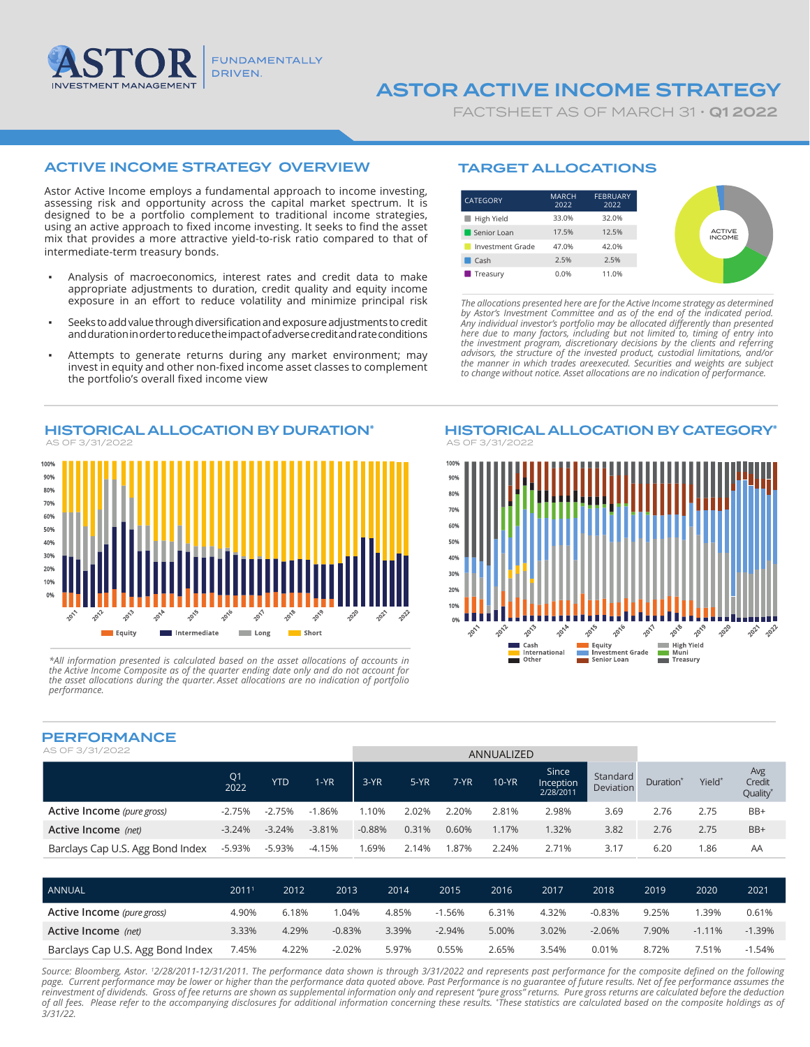

# ASTOR ACTIVE INCOME STRATEGY

FACTSHEET AS OF MARCH 31 · **Q1 2022** 

# ACTIVE INCOME STRATEGY OVERVIEW

Astor Active Income employs a fundamental approach to income investing, assessing risk and opportunity across the capital market spectrum. It is designed to be a portfolio complement to traditional income strategies, using an active approach to fixed income investing. It seeks to find the asset mix that provides a more attractive yield-to-risk ratio compared to that of intermediate-term treasury bonds.

- Analysis of macroeconomics, interest rates and credit data to make appropriate adjustments to duration, credit quality and equity income exposure in an effort to reduce volatility and minimize principal risk
- Seeks to add value through diversification and exposure adjustments to credit and duration in order to reduce the impact of adverse credit and rate conditions
- Attempts to generate returns during any market environment; may invest in equity and other non-fixed income asset classes to complement the portfolio's overall fixed income view



*\*All information presented is calculated based on the asset allocations of accounts in the Active Income Composite as of the quarter ending date only and do not account for the asset allocations during the quarter. Asset allocations are no indication of portfolio performance.* 

## TARGET ALLOCATIONS



*The allocations presented here are for the Active Income strategy as determined by Astor's Investment Committee and as of the end of the indicated period. Any individual investor's portfolio may be allocated differently than presented here due to many factors, including but not limited to, timing of entry into the investment program, discretionary decisions by the clients and referring advisors, the structure of the invested product, custodial limitations, and/or the manner in which trades areexecuted. Securities and weights are subject to change without notice. Asset allocations are no indication of performance.*



## PERFORMANCE

| FERI URITAINUE                   |                        |            |          |          |        |       |              |                                 |                              |                       |        |                                       |
|----------------------------------|------------------------|------------|----------|----------|--------|-------|--------------|---------------------------------|------------------------------|-----------------------|--------|---------------------------------------|
| AS OF 3/31/2022                  | ANNUALIZED             |            |          |          |        |       |              |                                 |                              |                       |        |                                       |
|                                  | Q <sub>1</sub><br>2022 | <b>YTD</b> | 1-YR     | $3-YR$   | $5-YR$ | 7-YR  | <b>10-YR</b> | Since<br>Inception<br>2/28/2011 | Standard<br><b>Deviation</b> | Duration <sup>*</sup> | Yield* | Avg<br>Credit<br>Quality <sup>*</sup> |
| Active Income (pure gross)       | $-2.75%$               | $-2.75%$   | $-1.86%$ | 1.10%    | 2.02%  | 2.20% | 2.81%        | 2.98%                           | 3.69                         | 2.76                  | 2.75   | BB+                                   |
| Active Income (net)              | $-3.24%$               | $-3.24%$   | $-3.81%$ | $-0.88%$ | 0.31%  | 0.60% | 1.17%        | 1.32%                           | 3.82                         | 2.76                  | 2.75   | BB+                                   |
| Barclays Cap U.S. Agg Bond Index | -5.93%                 | $-5.93%$   | $-4.15%$ | .69%     | 2.14%  | .87%  | 2.24%        | 2.71%                           | 3.17                         | 6.20                  | 1.86   | AA                                    |

| ANNUAL                           | $2011^{\circ}$ | 2012  | 2013     | 2014  | 2015     | 2016  | 2017  | 2018     | 2019  | 2020     | 2021     |
|----------------------------------|----------------|-------|----------|-------|----------|-------|-------|----------|-------|----------|----------|
| Active Income (pure gross)       | 4.90%          | 6.18% | .04%     | 4.85% | $-1.56%$ | 6.31% | 4.32% | -0.83%   | 9.25% | .39%     | 0.61%    |
| Active Income (net)              | 3.33%          | 4.29% | $-0.83%$ | 3.39% | $-2.94%$ | 5.00% | 3.02% | $-2.06%$ | 7.90% | $-1.11%$ | $-1.39%$ |
| Barclays Cap U.S. Agg Bond Index | 7.45%          | 4.22% | $-2.02%$ | 5.97% | 0.55%    | 2.65% | 3.54% | 0.01%    | 8.72% | 7.51%    | $-1.54%$ |

*Source: Bloomberg, Astor. 1 2/28/2011-12/31/2011. The performance data shown is through 3/31/2022 and represents past performance for the composite defined on the following page. Current performance may be lower or higher than the performance data quoted above. Past Performance is no guarantee of future results. Net of fee performance assumes the*  reinvestment of dividends. Gross of fee returns are shown as supplemental information only and represent "pure gross" returns. Pure gross returns are calculated before the deduction<br>of all fees. Please refer to the accomp *3/31/22.*